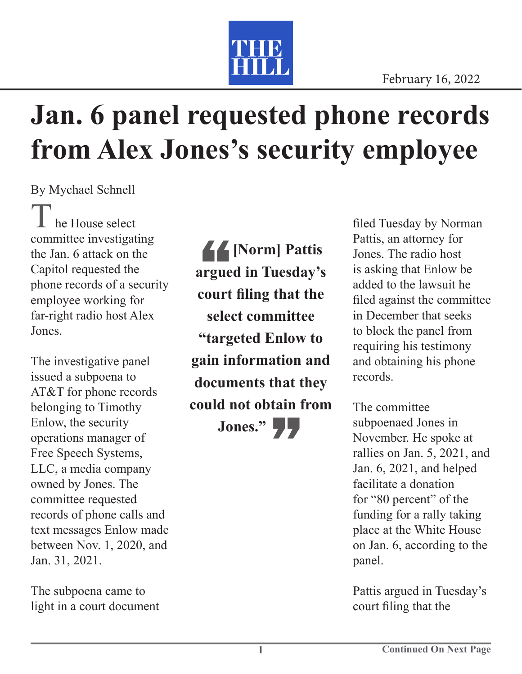

## **Jan. 6 panel requested phone records from Alex Jones's security employee**

By Mychael Schnell

he House select committee investigating the Jan. 6 attack on the Capitol requested the phone records of a security employee working for far-right radio host Alex Jones.

The investigative panel issued a subpoena to AT&T for phone records belonging to Timothy Enlow, the security operations manager of Free Speech Systems, LLC, a media company owned by Jones. The committee requested records of phone calls and text messages Enlow made between Nov. 1, 2020, and Jan. 31, 2021.

The subpoena came to light in a court document

44<br>argue<br>court **[Norm] Pattis argued in Tuesday's court filing that the select committee "targeted Enlow to gain information and documents that they could not obtain from** 

Jones."

filed Tuesday by Norman Pattis, an attorney for Jones. The radio host is asking that Enlow be added to the lawsuit he filed against the committee in December that seeks to block the panel from requiring his testimony and obtaining his phone records.

The committee subpoenaed Jones in November. He spoke at rallies on Jan. 5, 2021, and Jan. 6, 2021, and helped facilitate a donation for "80 percent" of the funding for a rally taking place at the White House on Jan. 6, according to the panel.

Pattis argued in Tuesday's court filing that the

**1**